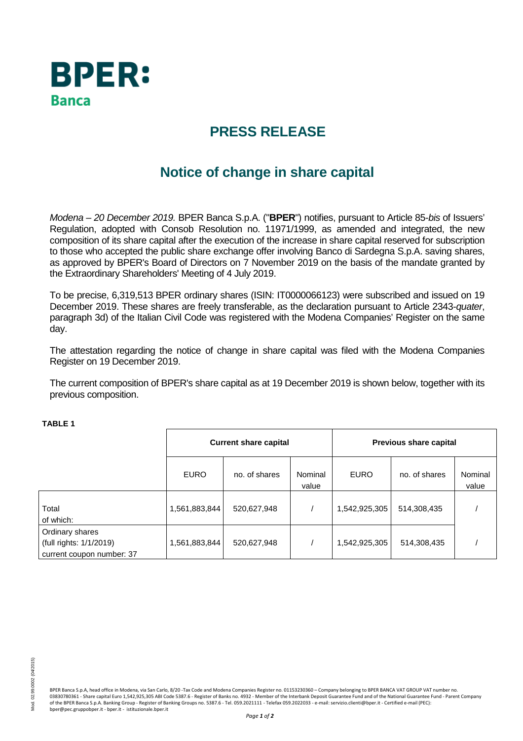

## **PRESS RELEASE**

# **Notice of change in share capital**

Modena – 20 December 2019. BPER Banca S.p.A. ("**BPER**") notifies, pursuant to Article 85-bis of Issuers' Regulation, adopted with Consob Resolution no. 11971/1999, as amended and integrated, the new composition of its share capital after the execution of the increase in share capital reserved for subscription to those who accepted the public share exchange offer involving Banco di Sardegna S.p.A. saving shares, as approved by BPER's Board of Directors on 7 November 2019 on the basis of the mandate granted by the Extraordinary Shareholders' Meeting of 4 July 2019.

To be precise, 6,319,513 BPER ordinary shares (ISIN: IT0000066123) were subscribed and issued on 19 December 2019. These shares are freely transferable, as the declaration pursuant to Article 2343-quater, paragraph 3d) of the Italian Civil Code was registered with the Modena Companies' Register on the same day.

The attestation regarding the notice of change in share capital was filed with the Modena Companies Register on 19 December 2019.

The current composition of BPER's share capital as at 19 December 2019 is shown below, together with its previous composition.

|                                                                         | <b>Current share capital</b> |               |                  | Previous share capital |               |                  |
|-------------------------------------------------------------------------|------------------------------|---------------|------------------|------------------------|---------------|------------------|
|                                                                         | <b>EURO</b>                  | no. of shares | Nominal<br>value | <b>EURO</b>            | no. of shares | Nominal<br>value |
| Total<br>of which:                                                      | 1,561,883,844                | 520,627,948   |                  | 1,542,925,305          | 514,308,435   |                  |
| Ordinary shares<br>(full rights: 1/1/2019)<br>current coupon number: 37 | 1,561,883,844                | 520,627,948   |                  | 1,542,925,305          | 514,308,435   |                  |

#### **TABLE 1**

BPER Banca S.p.A, head office in Modena, via San Carlo, 8/20 -Tax Code and Modena Companies Register no. 01153230360 – Company belonging to BPER BANCA VAT GROUP VAT number no. 03830780361 - Share capital Euro 1,542,925,305 ABI Code 5387.6 - Register of Banks no. 4932 - Member of the Interbank Deposit Guarantee Fund and of the National Guarantee Fund - Parent Company of the BPER Banca S.p.A. Banking Group - Register of Banking Groups no. 5387.6 - Tel. 059.2021111 - Telefax 059.2022033 - e-mail: servizio.clienti@bper.it - Certified e-mail (PEC): bper@pec.gruppobper.it - bper.it - istituzionale.bper.it